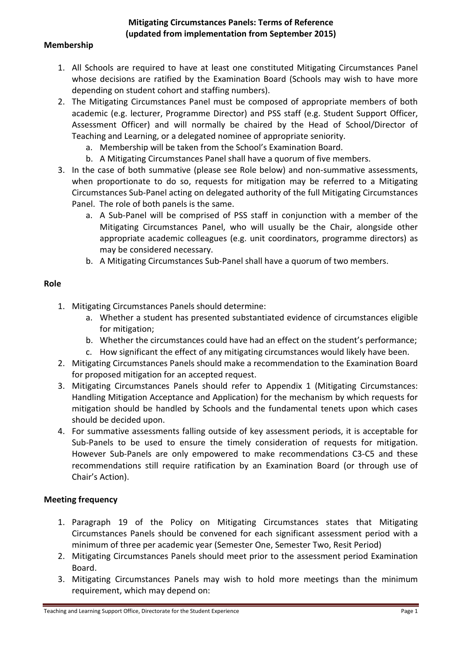## **Mitigating Circumstances Panels: Terms of Reference (updated from implementation from September 2015)**

### **Membership**

- 1. All Schools are required to have at least one constituted Mitigating Circumstances Panel whose decisions are ratified by the Examination Board (Schools may wish to have more depending on student cohort and staffing numbers).
- 2. The Mitigating Circumstances Panel must be composed of appropriate members of both academic (e.g. lecturer, Programme Director) and PSS staff (e.g. Student Support Officer, Assessment Officer) and will normally be chaired by the Head of School/Director of Teaching and Learning, or a delegated nominee of appropriate seniority.
	- a. Membership will be taken from the School's Examination Board.
	- b. A Mitigating Circumstances Panel shall have a quorum of five members.
- 3. In the case of both summative (please see Role below) and non-summative assessments, when proportionate to do so, requests for mitigation may be referred to a Mitigating Circumstances Sub-Panel acting on delegated authority of the full Mitigating Circumstances Panel. The role of both panels is the same.
	- a. A Sub-Panel will be comprised of PSS staff in conjunction with a member of the Mitigating Circumstances Panel, who will usually be the Chair, alongside other appropriate academic colleagues (e.g. unit coordinators, programme directors) as may be considered necessary.
	- b. A Mitigating Circumstances Sub-Panel shall have a quorum of two members.

### **Role**

- 1. Mitigating Circumstances Panels should determine:
	- a. Whether a student has presented substantiated evidence of circumstances eligible for mitigation;
	- b. Whether the circumstances could have had an effect on the student's performance;
	- c. How significant the effect of any mitigating circumstances would likely have been.
- 2. Mitigating Circumstances Panels should make a recommendation to the Examination Board for proposed mitigation for an accepted request.
- 3. Mitigating Circumstances Panels should refer to Appendix 1 (Mitigating Circumstances: Handling Mitigation Acceptance and Application) for the mechanism by which requests for mitigation should be handled by Schools and the fundamental tenets upon which cases should be decided upon.
- 4. For summative assessments falling outside of key assessment periods, it is acceptable for Sub-Panels to be used to ensure the timely consideration of requests for mitigation. However Sub-Panels are only empowered to make recommendations C3-C5 and these recommendations still require ratification by an Examination Board (or through use of Chair's Action).

# **Meeting frequency**

- 1. Paragraph 19 of the Policy on Mitigating Circumstances states that Mitigating Circumstances Panels should be convened for each significant assessment period with a minimum of three per academic year (Semester One, Semester Two, Resit Period)
- 2. Mitigating Circumstances Panels should meet prior to the assessment period Examination Board.
- 3. Mitigating Circumstances Panels may wish to hold more meetings than the minimum requirement, which may depend on: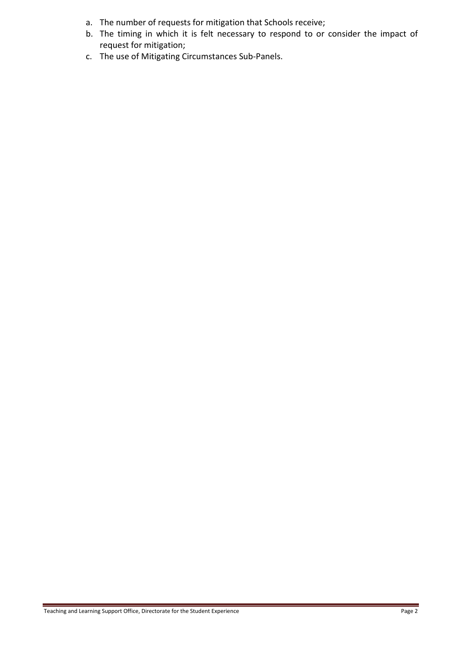- a. The number of requests for mitigation that Schools receive;
- b. The timing in which it is felt necessary to respond to or consider the impact of request for mitigation;
- c. The use of Mitigating Circumstances Sub-Panels.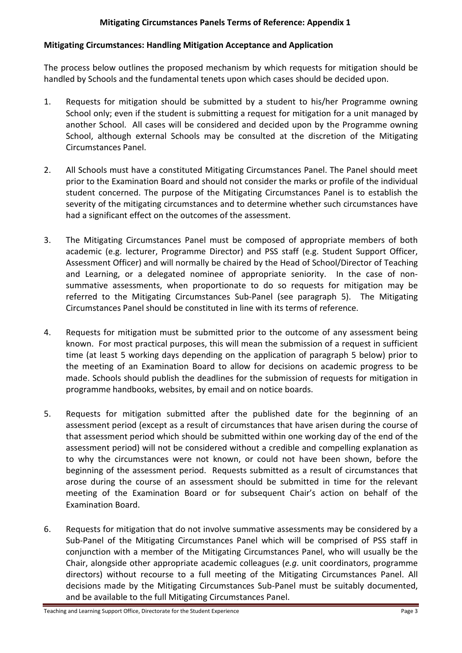# **Mitigating Circumstances Panels Terms of Reference: Appendix 1**

### **Mitigating Circumstances: Handling Mitigation Acceptance and Application**

The process below outlines the proposed mechanism by which requests for mitigation should be handled by Schools and the fundamental tenets upon which cases should be decided upon.

- 1. Requests for mitigation should be submitted by a student to his/her Programme owning School only; even if the student is submitting a request for mitigation for a unit managed by another School. All cases will be considered and decided upon by the Programme owning School, although external Schools may be consulted at the discretion of the Mitigating Circumstances Panel.
- 2. All Schools must have a constituted Mitigating Circumstances Panel. The Panel should meet prior to the Examination Board and should not consider the marks or profile of the individual student concerned. The purpose of the Mitigating Circumstances Panel is to establish the severity of the mitigating circumstances and to determine whether such circumstances have had a significant effect on the outcomes of the assessment.
- 3. The Mitigating Circumstances Panel must be composed of appropriate members of both academic (e.g. lecturer, Programme Director) and PSS staff (e.g. Student Support Officer, Assessment Officer) and will normally be chaired by the Head of School/Director of Teaching and Learning, or a delegated nominee of appropriate seniority. In the case of nonsummative assessments, when proportionate to do so requests for mitigation may be referred to the Mitigating Circumstances Sub-Panel (see paragraph 5). The Mitigating Circumstances Panel should be constituted in line with its terms of reference.
- 4. Requests for mitigation must be submitted prior to the outcome of any assessment being known. For most practical purposes, this will mean the submission of a request in sufficient time (at least 5 working days depending on the application of paragraph 5 below) prior to the meeting of an Examination Board to allow for decisions on academic progress to be made. Schools should publish the deadlines for the submission of requests for mitigation in programme handbooks, websites, by email and on notice boards.
- 5. Requests for mitigation submitted after the published date for the beginning of an assessment period (except as a result of circumstances that have arisen during the course of that assessment period which should be submitted within one working day of the end of the assessment period) will not be considered without a credible and compelling explanation as to why the circumstances were not known, or could not have been shown, before the beginning of the assessment period. Requests submitted as a result of circumstances that arose during the course of an assessment should be submitted in time for the relevant meeting of the Examination Board or for subsequent Chair's action on behalf of the Examination Board.
- 6. Requests for mitigation that do not involve summative assessments may be considered by a Sub-Panel of the Mitigating Circumstances Panel which will be comprised of PSS staff in conjunction with a member of the Mitigating Circumstances Panel, who will usually be the Chair, alongside other appropriate academic colleagues (*e.g*. unit coordinators, programme directors) without recourse to a full meeting of the Mitigating Circumstances Panel. All decisions made by the Mitigating Circumstances Sub-Panel must be suitably documented, and be available to the full Mitigating Circumstances Panel.

Teaching and Learning Support Office, Directorate for the Student Experience **Page 3** Page 3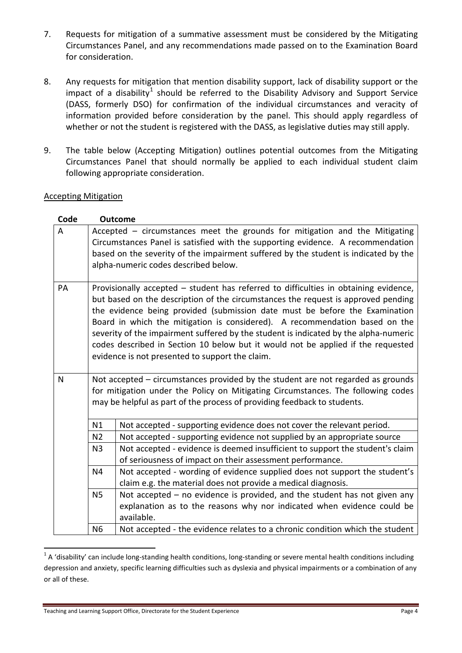- 7. Requests for mitigation of a summative assessment must be considered by the Mitigating Circumstances Panel, and any recommendations made passed on to the Examination Board for consideration.
- 8. Any requests for mitigation that mention disability support, lack of disability support or the impact of a disability<sup>[1](#page-3-0)</sup> should be referred to the Disability Advisory and Support Service (DASS, formerly DSO) for confirmation of the individual circumstances and veracity of information provided before consideration by the panel. This should apply regardless of whether or not the student is registered with the DASS, as legislative duties may still apply.
- 9. The table below (Accepting Mitigation) outlines potential outcomes from the Mitigating Circumstances Panel that should normally be applied to each individual student claim following appropriate consideration.

### Accepting Mitigation

| Code                                                                                  |                                                                                                                                                              | <b>Outcome</b>                                                                |  |  |  |
|---------------------------------------------------------------------------------------|--------------------------------------------------------------------------------------------------------------------------------------------------------------|-------------------------------------------------------------------------------|--|--|--|
| A                                                                                     | Accepted - circumstances meet the grounds for mitigation and the Mitigating                                                                                  |                                                                               |  |  |  |
|                                                                                       | Circumstances Panel is satisfied with the supporting evidence. A recommendation                                                                              |                                                                               |  |  |  |
|                                                                                       | based on the severity of the impairment suffered by the student is indicated by the                                                                          |                                                                               |  |  |  |
|                                                                                       |                                                                                                                                                              | alpha-numeric codes described below.                                          |  |  |  |
| PA                                                                                    | Provisionally accepted - student has referred to difficulties in obtaining evidence,                                                                         |                                                                               |  |  |  |
|                                                                                       | but based on the description of the circumstances the request is approved pending                                                                            |                                                                               |  |  |  |
|                                                                                       | the evidence being provided (submission date must be before the Examination<br>Board in which the mitigation is considered). A recommendation based on the   |                                                                               |  |  |  |
|                                                                                       |                                                                                                                                                              |                                                                               |  |  |  |
|                                                                                       | severity of the impairment suffered by the student is indicated by the alpha-numeric                                                                         |                                                                               |  |  |  |
|                                                                                       | codes described in Section 10 below but it would not be applied if the requested                                                                             |                                                                               |  |  |  |
|                                                                                       | evidence is not presented to support the claim.                                                                                                              |                                                                               |  |  |  |
|                                                                                       |                                                                                                                                                              |                                                                               |  |  |  |
| Not accepted – circumstances provided by the student are not regarded as grounds<br>N |                                                                                                                                                              |                                                                               |  |  |  |
|                                                                                       | for mitigation under the Policy on Mitigating Circumstances. The following codes<br>may be helpful as part of the process of providing feedback to students. |                                                                               |  |  |  |
|                                                                                       |                                                                                                                                                              |                                                                               |  |  |  |
|                                                                                       | N1                                                                                                                                                           | Not accepted - supporting evidence does not cover the relevant period.        |  |  |  |
|                                                                                       | N <sub>2</sub>                                                                                                                                               | Not accepted - supporting evidence not supplied by an appropriate source      |  |  |  |
|                                                                                       | N <sub>3</sub>                                                                                                                                               | Not accepted - evidence is deemed insufficient to support the student's claim |  |  |  |
|                                                                                       |                                                                                                                                                              | of seriousness of impact on their assessment performance.                     |  |  |  |
|                                                                                       | N <sub>4</sub>                                                                                                                                               | Not accepted - wording of evidence supplied does not support the student's    |  |  |  |
|                                                                                       |                                                                                                                                                              | claim e.g. the material does not provide a medical diagnosis.                 |  |  |  |
|                                                                                       | <b>N5</b>                                                                                                                                                    | Not accepted $-$ no evidence is provided, and the student has not given any   |  |  |  |
|                                                                                       |                                                                                                                                                              | explanation as to the reasons why nor indicated when evidence could be        |  |  |  |
|                                                                                       |                                                                                                                                                              | available.                                                                    |  |  |  |
|                                                                                       | N <sub>6</sub>                                                                                                                                               | Not accepted - the evidence relates to a chronic condition which the student  |  |  |  |

<span id="page-3-0"></span> $1$  A 'disability' can include long-standing health conditions, long-standing or severe mental health conditions including depression and anxiety, specific learning difficulties such as dyslexia and physical impairments or a combination of any or all of these.

Teaching and Learning Support Office, Directorate for the Student Experience **Page 4** Page 4

**.**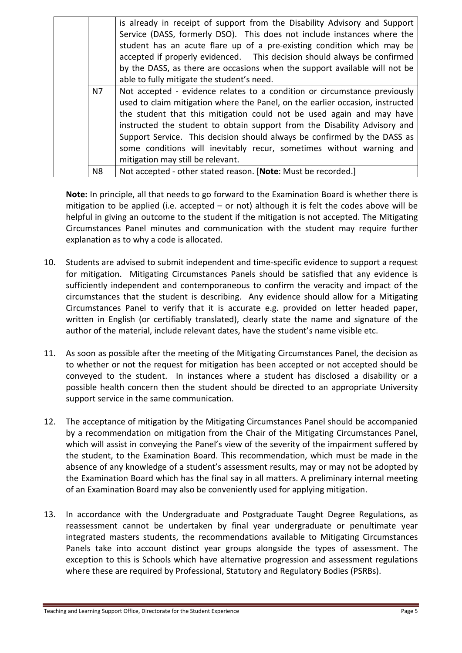|  |    | is already in receipt of support from the Disability Advisory and Support     |
|--|----|-------------------------------------------------------------------------------|
|  |    | Service (DASS, formerly DSO). This does not include instances where the       |
|  |    | student has an acute flare up of a pre-existing condition which may be        |
|  |    | accepted if properly evidenced. This decision should always be confirmed      |
|  |    | by the DASS, as there are occasions when the support available will not be    |
|  |    | able to fully mitigate the student's need.                                    |
|  | N7 | Not accepted - evidence relates to a condition or circumstance previously     |
|  |    | used to claim mitigation where the Panel, on the earlier occasion, instructed |
|  |    | the student that this mitigation could not be used again and may have         |
|  |    | instructed the student to obtain support from the Disability Advisory and     |
|  |    | Support Service. This decision should always be confirmed by the DASS as      |
|  |    | some conditions will inevitably recur, sometimes without warning and          |
|  |    | mitigation may still be relevant.                                             |
|  | N8 | Not accepted - other stated reason. [Note: Must be recorded.]                 |

**Note:** In principle, all that needs to go forward to the Examination Board is whether there is mitigation to be applied (i.e. accepted – or not) although it is felt the codes above will be helpful in giving an outcome to the student if the mitigation is not accepted. The Mitigating Circumstances Panel minutes and communication with the student may require further explanation as to why a code is allocated.

- 10. Students are advised to submit independent and time-specific evidence to support a request for mitigation. Mitigating Circumstances Panels should be satisfied that any evidence is sufficiently independent and contemporaneous to confirm the veracity and impact of the circumstances that the student is describing. Any evidence should allow for a Mitigating Circumstances Panel to verify that it is accurate e.g. provided on letter headed paper, written in English (or certifiably translated), clearly state the name and signature of the author of the material, include relevant dates, have the student's name visible etc.
- 11. As soon as possible after the meeting of the Mitigating Circumstances Panel, the decision as to whether or not the request for mitigation has been accepted or not accepted should be conveyed to the student. In instances where a student has disclosed a disability or a possible health concern then the student should be directed to an appropriate University support service in the same communication.
- 12. The acceptance of mitigation by the Mitigating Circumstances Panel should be accompanied by a recommendation on mitigation from the Chair of the Mitigating Circumstances Panel, which will assist in conveying the Panel's view of the severity of the impairment suffered by the student, to the Examination Board. This recommendation, which must be made in the absence of any knowledge of a student's assessment results, may or may not be adopted by the Examination Board which has the final say in all matters. A preliminary internal meeting of an Examination Board may also be conveniently used for applying mitigation.
- 13. In accordance with the Undergraduate and Postgraduate Taught Degree Regulations, as reassessment cannot be undertaken by final year undergraduate or penultimate year integrated masters students, the recommendations available to Mitigating Circumstances Panels take into account distinct year groups alongside the types of assessment. The exception to this is Schools which have alternative progression and assessment regulations where these are required by Professional, Statutory and Regulatory Bodies (PSRBs).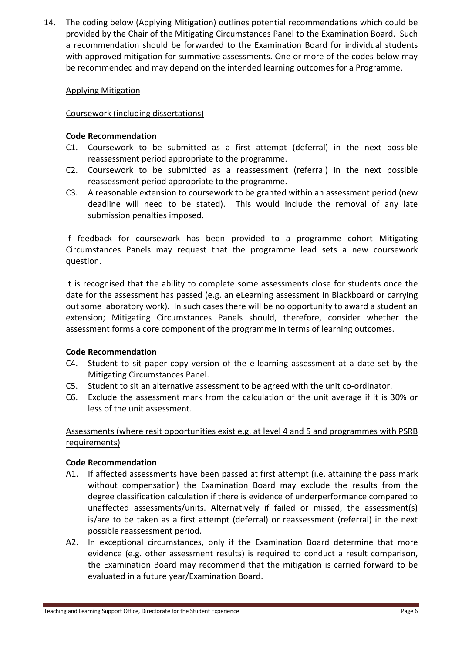14. The coding below (Applying Mitigation) outlines potential recommendations which could be provided by the Chair of the Mitigating Circumstances Panel to the Examination Board. Such a recommendation should be forwarded to the Examination Board for individual students with approved mitigation for summative assessments. One or more of the codes below may be recommended and may depend on the intended learning outcomes for a Programme.

## Applying Mitigation

## Coursework (including dissertations)

### **Code Recommendation**

- C1. Coursework to be submitted as a first attempt (deferral) in the next possible reassessment period appropriate to the programme.
- C2. Coursework to be submitted as a reassessment (referral) in the next possible reassessment period appropriate to the programme.
- C3. A reasonable extension to coursework to be granted within an assessment period (new deadline will need to be stated). This would include the removal of any late submission penalties imposed.

If feedback for coursework has been provided to a programme cohort Mitigating Circumstances Panels may request that the programme lead sets a new coursework question.

It is recognised that the ability to complete some assessments close for students once the date for the assessment has passed (e.g. an eLearning assessment in Blackboard or carrying out some laboratory work). In such cases there will be no opportunity to award a student an extension; Mitigating Circumstances Panels should, therefore, consider whether the assessment forms a core component of the programme in terms of learning outcomes.

# **Code Recommendation**

- C4. Student to sit paper copy version of the e-learning assessment at a date set by the Mitigating Circumstances Panel.
- C5. Student to sit an alternative assessment to be agreed with the unit co-ordinator.
- C6. Exclude the assessment mark from the calculation of the unit average if it is 30% or less of the unit assessment.

# Assessments (where resit opportunities exist e.g. at level 4 and 5 and programmes with PSRB requirements)

### **Code Recommendation**

- A1. If affected assessments have been passed at first attempt (i.e. attaining the pass mark without compensation) the Examination Board may exclude the results from the degree classification calculation if there is evidence of underperformance compared to unaffected assessments/units. Alternatively if failed or missed, the assessment(s) is/are to be taken as a first attempt (deferral) or reassessment (referral) in the next possible reassessment period.
- A2. In exceptional circumstances, only if the Examination Board determine that more evidence (e.g. other assessment results) is required to conduct a result comparison, the Examination Board may recommend that the mitigation is carried forward to be evaluated in a future year/Examination Board.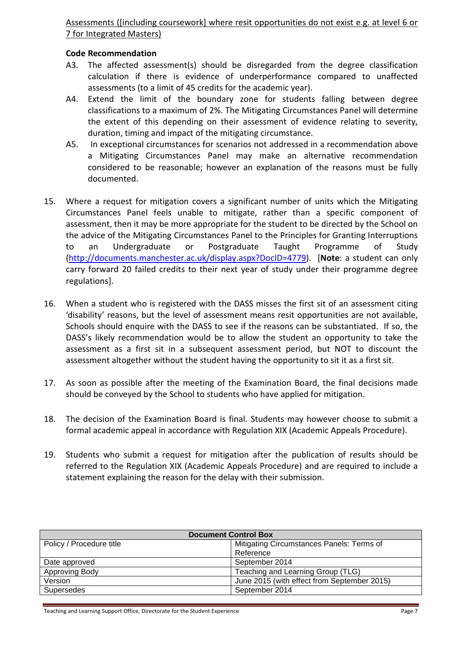Assessments ([including coursework] where resit opportunities do not exist e.g. at level 6 or 7 for Integrated Masters)

### **Code Recommendation**

- A3. The affected assessment(s) should be disregarded from the degree classification calculation if there is evidence of underperformance compared to unaffected assessments (to a limit of 45 credits for the academic year).
- A4. Extend the limit of the boundary zone for students falling between degree classifications to a maximum of 2%. The Mitigating Circumstances Panel will determine the extent of this depending on their assessment of evidence relating to severity, duration, timing and impact of the mitigating circumstance.
- A5. In exceptional circumstances for scenarios not addressed in a recommendation above a Mitigating Circumstances Panel may make an alternative recommendation considered to be reasonable; however an explanation of the reasons must be fully documented.
- 15. Where a request for mitigation covers a significant number of units which the Mitigating Circumstances Panel feels unable to mitigate, rather than a specific component of assessment, then it may be more appropriate for the student to be directed by the School on the advice of the Mitigating Circumstances Panel to the Principles for Granting Interruptions to an Undergraduate or Postgraduate Taught Programme of Study [\(http://documents.manchester.ac.uk/display.aspx?DocID=4779\)](http://documents.manchester.ac.uk/display.aspx?DocID=4779). [**Note**: a student can only carry forward 20 failed credits to their next year of study under their programme degree regulations].
- 16. When a student who is registered with the DASS misses the first sit of an assessment citing 'disability' reasons, but the level of assessment means resit opportunities are not available, Schools should enquire with the DASS to see if the reasons can be substantiated. If so, the DASS's likely recommendation would be to allow the student an opportunity to take the assessment as a first sit in a subsequent assessment period, but NOT to discount the assessment altogether without the student having the opportunity to sit it as a first sit.
- 17. As soon as possible after the meeting of the Examination Board, the final decisions made should be conveyed by the School to students who have applied for mitigation.
- 18. The decision of the Examination Board is final. Students may however choose to submit a formal academic appeal in accordance with Regulation XIX (Academic Appeals Procedure).
- 19. Students who submit a request for mitigation after the publication of results should be referred to the Regulation XIX (Academic Appeals Procedure) and are required to include a statement explaining the reason for the delay with their submission.

| <b>Document Control Box</b> |                                             |  |  |
|-----------------------------|---------------------------------------------|--|--|
| Policy / Procedure title    | Mitigating Circumstances Panels: Terms of   |  |  |
|                             | Reference                                   |  |  |
| Date approved               | September 2014                              |  |  |
| Approving Body              | Teaching and Learning Group (TLG)           |  |  |
| Version                     | June 2015 (with effect from September 2015) |  |  |
| Supersedes                  | September 2014                              |  |  |

Teaching and Learning Support Office, Directorate for the Student Experience **Page 7** Page 7